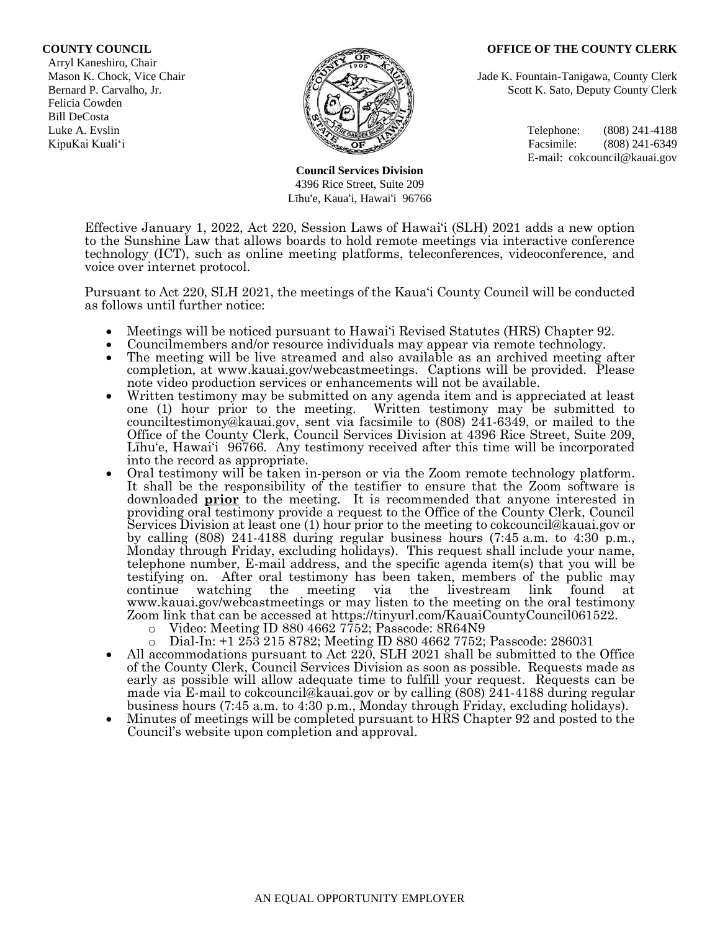#### **COUNTY COUNCIL OFFICE OF THE COUNTY CLERK**

 Arryl Kaneshiro, Chair Felicia Cowden Bill DeCosta



**Council Services Division** 4396 Rice Street, Suite 209 Līhu'e, Kaua'i, Hawai'i 96766

Mason K. Chock, Vice Chair **Jade K. Fountain-Tanigawa, County Clerk** Jade K. Fountain-Tanigawa, County Clerk Bernard P. Carvalho, Jr. Scott K. Sato, Deputy County Clerk

Luke A. Evslin  $\mathbb{R}^n$  Telephone: (808) 241-4188 KipuKai Kuali'i Facsimile: (808) 241-6349 E-mail: cokcouncil@kauai.gov

Effective January 1, 2022, Act 220, Session Laws of Hawai'i (SLH) 2021 adds a new option to the Sunshine Law that allows boards to hold remote meetings via interactive conference technology (ICT), such as online meeting platforms, teleconferences, videoconference, and voice over internet protocol.

Pursuant to Act 220, SLH 2021, the meetings of the Kaua'i County Council will be conducted as follows until further notice:

- Meetings will be noticed pursuant to Hawai'i Revised Statutes (HRS) Chapter 92.
- Councilmembers and/or resource individuals may appear via remote technology.
- The meeting will be live streamed and also available as an archived meeting after completion, at www.kauai.gov/webcastmeetings. Captions will be provided. Please note video production services or enhancements will not be available.
- Written testimony may be submitted on any agenda item and is appreciated at least one (1) hour prior to the meeting. Written testimony may be submitted to counciltestimony@kauai.gov, sent via facsimile to (808) 241-6349, or mailed to the Office of the County Clerk, Council Services Division at 4396 Rice Street, Suite 209, Līhu'e, Hawai'i 96766. Any testimony received after this time will be incorporated into the record as appropriate.
- Oral testimony will be taken in-person or via the Zoom remote technology platform. It shall be the responsibility of the testifier to ensure that the Zoom software is downloaded **prior** to the meeting. It is recommended that anyone interested in providing oral testimony provide a request to the Office of the County Clerk, Council Services Division at least one (1) hour prior to the meeting to cokcouncil@kauai.gov or by calling (808) 241-4188 during regular business hours (7:45 a.m. to 4:30 p.m., Monday through Friday, excluding holidays). This request shall include your name, telephone number, E-mail address, and the specific agenda item(s) that you will be testifying on. After oral testimony has been taken, members of the public may continue watching the meeting via the livestream link found at www.kauai.gov/webcastmeetings or may listen to the meeting on the oral testimony Zoom link that can be accessed at https://tinyurl.com/KauaiCountyCouncil061522.
	- o Video: Meeting ID 880 4662 7752; Passcode: 8R64N9
	- o Dial-In: +1 253 215 8782; Meeting ID 880 4662 7752; Passcode: 286031
- All accommodations pursuant to Act 220, SLH 2021 shall be submitted to the Office of the County Clerk, Council Services Division as soon as possible. Requests made as early as possible will allow adequate time to fulfill your request. Requests can be made via E-mail to cokcouncil@kauai.gov or by calling (808) 241-4188 during regular business hours (7:45 a.m. to 4:30 p.m., Monday through Friday, excluding holidays).
- Minutes of meetings will be completed pursuant to HRS Chapter 92 and posted to the Council's website upon completion and approval.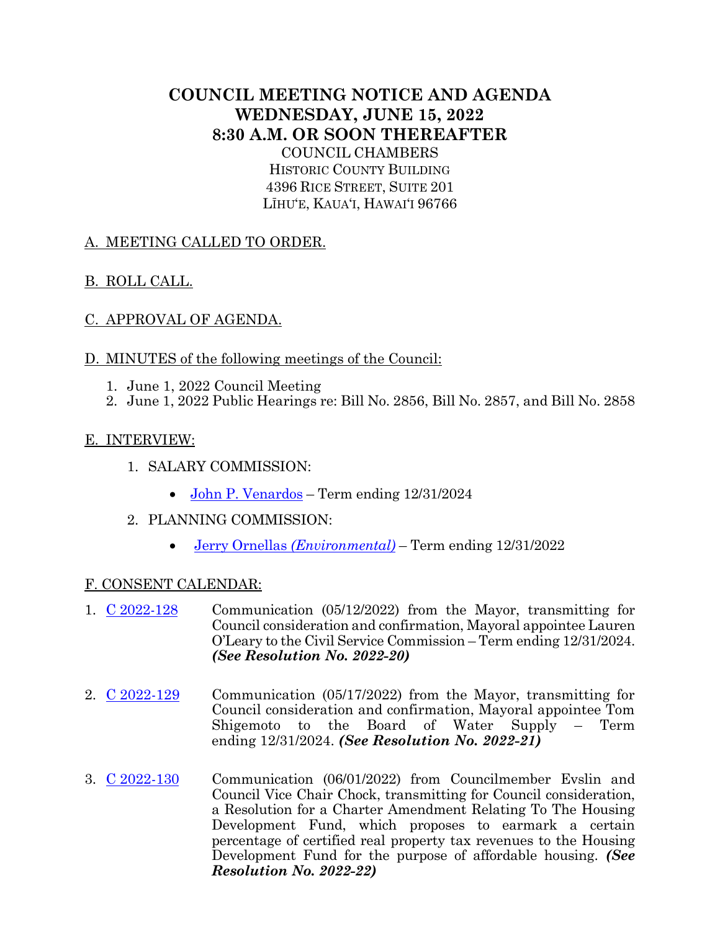# **COUNCIL MEETING NOTICE AND AGENDA WEDNESDAY, JUNE 15, 2022 8:30 A.M. OR SOON THEREAFTER** COUNCIL CHAMBERS

HISTORIC COUNTY BUILDING 4396 RICE STREET, SUITE 201 LĪHU'E, KAUA'I, HAWAI'I 96766

# A. MEETING CALLED TO ORDER.

# B. ROLL CALL.

# C. APPROVAL OF AGENDA.

## D. MINUTES of the following meetings of the Council:

- 1. June 1, 2022 Council Meeting
- 2. June 1, 2022 Public Hearings re: Bill No. 2856, Bill No. 2857, and Bill No. 2858

## E. INTERVIEW:

- 1. SALARY COMMISSION:
	- John P. [Venardos](https://kauai.granicus.com/MetaViewer.php?meta_id=161039) Term ending 12/31/2024
- 2. PLANNING COMMISSION:
	- [Jerry Ornellas](https://kauai.granicus.com/MetaViewer.php?meta_id=161041) *[\(Environmental\)](https://kauai.granicus.com/MetaViewer.php?meta_id=161041)* Term ending 12/31/2022

## F. CONSENT CALENDAR:

- 1. [C 2022-128](https://kauai.granicus.com/MetaViewer.php?meta_id=161043) Communication (05/12/2022) from the Mayor, transmitting for Council consideration and confirmation, Mayoral appointee Lauren O'Leary to the Civil Service Commission – Term ending 12/31/2024. *(See Resolution No. 2022-20)*
- 2. [C 2022-129](https://kauai.granicus.com/MetaViewer.php?meta_id=161045) Communication (05/17/2022) from the Mayor, transmitting for Council consideration and confirmation, Mayoral appointee Tom Shigemoto to the Board of Water Supply – Term ending 12/31/2024. *(See Resolution No. 2022-21)*
- 3. [C 2022-130](https://kauai.granicus.com/MetaViewer.php?meta_id=161047) Communication (06/01/2022) from Councilmember Evslin and Council Vice Chair Chock, transmitting for Council consideration, a Resolution for a Charter Amendment Relating To The Housing Development Fund, which proposes to earmark a certain percentage of certified real property tax revenues to the Housing Development Fund for the purpose of affordable housing. *(See Resolution No. 2022-22)*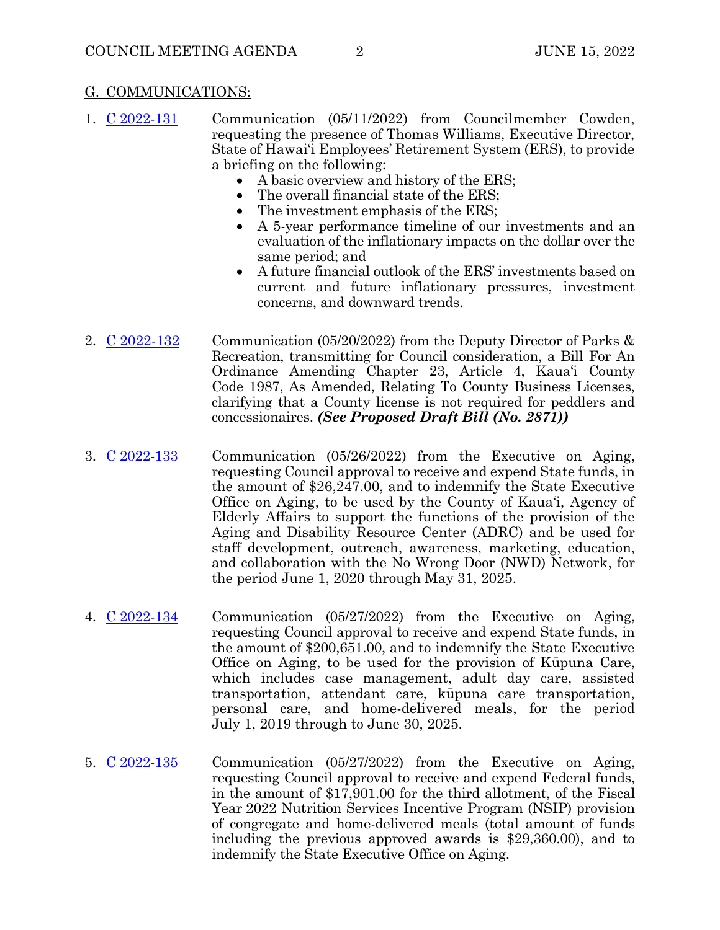#### G. COMMUNICATIONS:

- 1. [C 2022-131](https://kauai.granicus.com/MetaViewer.php?meta_id=161049) Communication (05/11/2022) from Councilmember Cowden, requesting the presence of Thomas Williams, Executive Director, State of Hawai'i Employees' Retirement System (ERS), to provide a briefing on the following:
	- A basic overview and history of the ERS;
	- The overall financial state of the ERS;
	- The investment emphasis of the ERS;
	- A 5-year performance timeline of our investments and an evaluation of the inflationary impacts on the dollar over the same period; and
	- A future financial outlook of the ERS' investments based on current and future inflationary pressures, investment concerns, and downward trends.
- 2.  $\underline{C}$  2022-132 Communication (05/20/2022) from the Deputy Director of Parks & Recreation, transmitting for Council consideration, a Bill For An Ordinance Amending Chapter 23, Article 4, Kaua'i County Code 1987, As Amended, Relating To County Business Licenses, clarifying that a County license is not required for peddlers and concessionaires. *(See Proposed Draft Bill (No. 2871))*
- 3. [C 2022-133](https://kauai.granicus.com/MetaViewer.php?meta_id=161053) Communication (05/26/2022) from the Executive on Aging, requesting Council approval to receive and expend State funds, in the amount of \$26,247.00, and to indemnify the State Executive Office on Aging, to be used by the County of Kaua'i, Agency of Elderly Affairs to support the functions of the provision of the Aging and Disability Resource Center (ADRC) and be used for staff development, outreach, awareness, marketing, education, and collaboration with the No Wrong Door (NWD) Network, for the period June 1, 2020 through May 31, 2025.
- 4. [C 2022-134](https://kauai.granicus.com/MetaViewer.php?meta_id=161055) Communication (05/27/2022) from the Executive on Aging, requesting Council approval to receive and expend State funds, in the amount of \$200,651.00, and to indemnify the State Executive Office on Aging, to be used for the provision of Kūpuna Care, which includes case management, adult day care, assisted transportation, attendant care, kūpuna care transportation, personal care, and home-delivered meals, for the period July 1, 2019 through to June 30, 2025.
- 5. [C 2022-135](https://kauai.granicus.com/MetaViewer.php?meta_id=161057) Communication (05/27/2022) from the Executive on Aging, requesting Council approval to receive and expend Federal funds, in the amount of \$17,901.00 for the third allotment, of the Fiscal Year 2022 Nutrition Services Incentive Program (NSIP) provision of congregate and home-delivered meals (total amount of funds including the previous approved awards is \$29,360.00), and to indemnify the State Executive Office on Aging.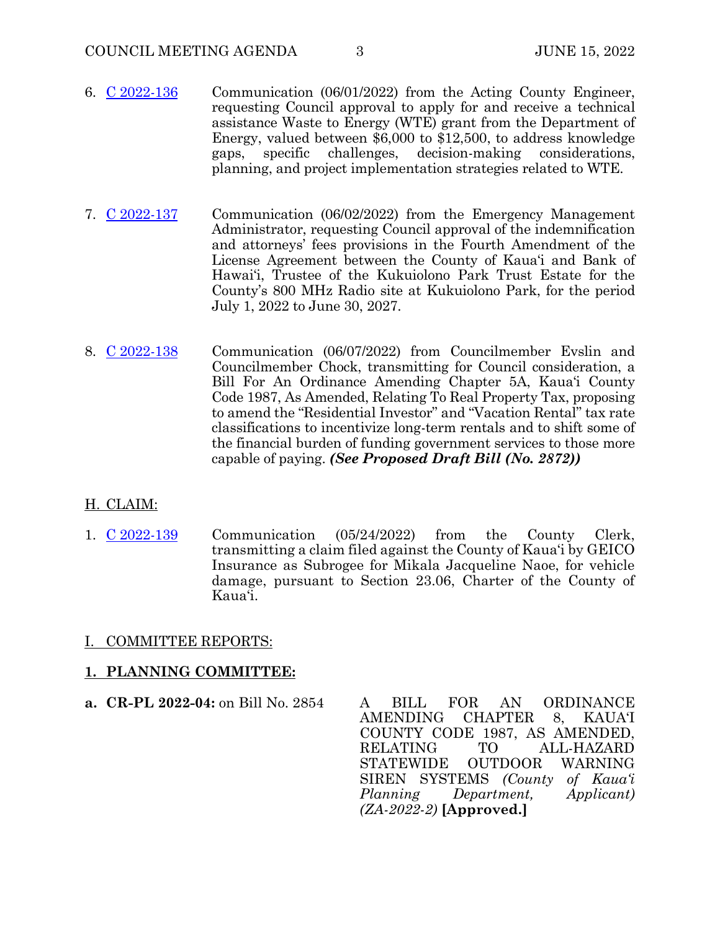- 6. [C 2022-136](https://kauai.granicus.com/MetaViewer.php?meta_id=161059) Communication (06/01/2022) from the Acting County Engineer, requesting Council approval to apply for and receive a technical assistance Waste to Energy (WTE) grant from the Department of Energy, valued between \$6,000 to \$12,500, to address knowledge gaps, specific challenges, decision-making considerations, planning, and project implementation strategies related to WTE.
- 7.  $\underline{C}$  2022-137 Communication (06/02/2022) from the Emergency Management Administrator, requesting Council approval of the indemnification and attorneys' fees provisions in the Fourth Amendment of the License Agreement between the County of Kaua'i and Bank of Hawai'i, Trustee of the Kukuiolono Park Trust Estate for the County's 800 MHz Radio site at Kukuiolono Park, for the period July 1, 2022 to June 30, 2027.
- 8. [C 2022-138](https://kauai.granicus.com/MetaViewer.php?meta_id=161063) Communication (06/07/2022) from Councilmember Evslin and Councilmember Chock, transmitting for Council consideration, a Bill For An Ordinance Amending Chapter 5A, Kaua'i County Code 1987, As Amended, Relating To Real Property Tax, proposing to amend the "Residential Investor" and "Vacation Rental" tax rate classifications to incentivize long-term rentals and to shift some of the financial burden of funding government services to those more capable of paying. *(See Proposed Draft Bill (No. 2872))*

## H. CLAIM:

1. [C 2022-139](https://kauai.granicus.com/MetaViewer.php?meta_id=161065) Communication (05/24/2022) from the County Clerk, transmitting a claim filed against the County of Kaua'i by GEICO Insurance as Subrogee for Mikala Jacqueline Naoe, for vehicle damage, pursuant to Section 23.06, Charter of the County of Kaua'i.

## I. COMMITTEE REPORTS:

#### **1. PLANNING COMMITTEE:**

**a. CR-PL 2022-04:** on Bill No. 2854 A BILL FOR AN ORDINANCE AMENDING CHAPTER 8, KAUA'I COUNTY CODE 1987, AS AMENDED, RELATING TO ALL-HAZARD STATEWIDE OUTDOOR WARNING SIREN SYSTEMS *(County of Kaua'i Planning Department, Applicant) (ZA-2022-2)* **[Approved.]**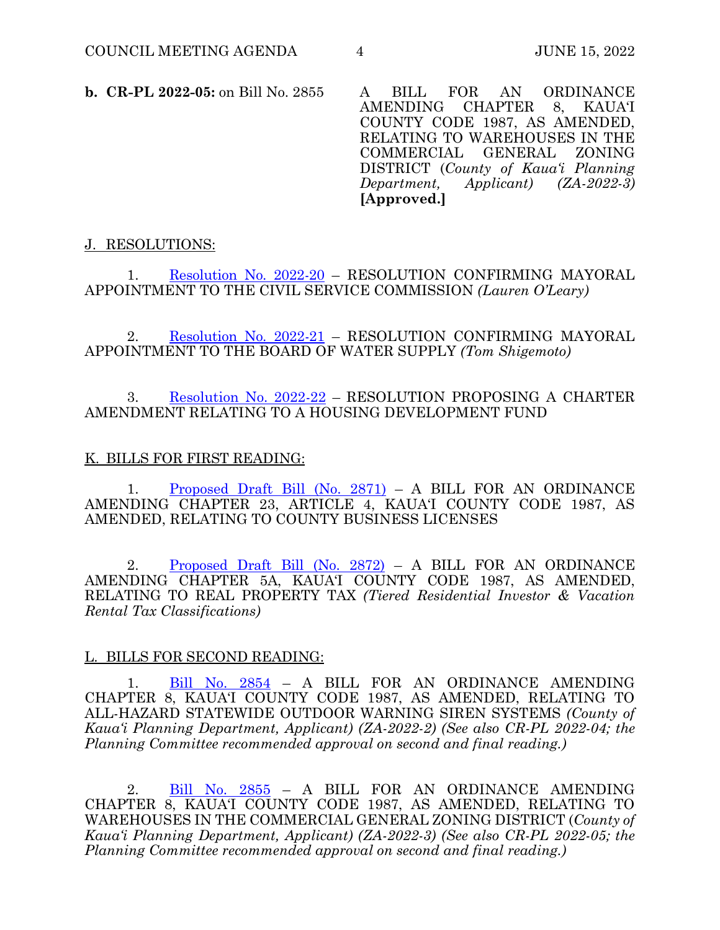**b. CR-PL 2022-05:** on Bill No. 2855 A BILL FOR AN ORDINANCE AMENDING CHAPTER 8, KAUA'I COUNTY CODE 1987, AS AMENDED, RELATING TO WAREHOUSES IN THE COMMERCIAL GENERAL ZONING DISTRICT (*County of Kaua'i Planning Department, Applicant) (ZA-2022-3)* **[Approved.]**

## J. RESOLUTIONS:

1. [Resolution No. 2022-20](https://kauai.granicus.com/MetaViewer.php?meta_id=161067) – RESOLUTION CONFIRMING MAYORAL APPOINTMENT TO THE CIVIL SERVICE COMMISSION *(Lauren O'Leary)* 

2. [Resolution No. 2022-21](https://kauai.granicus.com/MetaViewer.php?meta_id=161069) – RESOLUTION CONFIRMING MAYORAL APPOINTMENT TO THE BOARD OF WATER SUPPLY *(Tom Shigemoto)*

## 3. [Resolution No. 2022-22](https://kauai.granicus.com/MetaViewer.php?meta_id=161071) – RESOLUTION PROPOSING A CHARTER AMENDMENT RELATING TO A HOUSING DEVELOPMENT FUND

## K. BILLS FOR FIRST READING:

[Proposed Draft Bill \(No. 2871\)](https://kauai.granicus.com/MetaViewer.php?meta_id=161073) – A BILL FOR AN ORDINANCE AMENDING CHAPTER 23, ARTICLE 4, KAUA'I COUNTY CODE 1987, AS AMENDED, RELATING TO COUNTY BUSINESS LICENSES

2. [Proposed Draft Bill \(No. 2872\)](https://kauai.granicus.com/MetaViewer.php?meta_id=161075) – A BILL FOR AN ORDINANCE AMENDING CHAPTER 5A, KAUA'I COUNTY CODE 1987, AS AMENDED, RELATING TO REAL PROPERTY TAX *(Tiered Residential Investor & Vacation Rental Tax Classifications)*

#### L. BILLS FOR SECOND READING:

1. Bill [No. 2854](https://kauai.granicus.com/MetaViewer.php?meta_id=161077) – A BILL FOR AN ORDINANCE AMENDING CHAPTER 8, KAUA'I COUNTY CODE 1987, AS AMENDED, RELATING TO ALL-HAZARD STATEWIDE OUTDOOR WARNING SIREN SYSTEMS *(County of Kaua'i Planning Department, Applicant) (ZA-2022-2) (See also CR-PL 2022-04; the Planning Committee recommended approval on second and final reading.)* 

2. [Bill No. 2855](https://kauai.granicus.com/MetaViewer.php?meta_id=161079) – A BILL FOR AN ORDINANCE AMENDING CHAPTER 8, KAUA'I COUNTY CODE 1987, AS AMENDED, RELATING TO WAREHOUSES IN THE COMMERCIAL GENERAL ZONING DISTRICT (*County of Kaua'i Planning Department, Applicant) (ZA-2022-3) (See also CR-PL 2022-05; the Planning Committee recommended approval on second and final reading.)*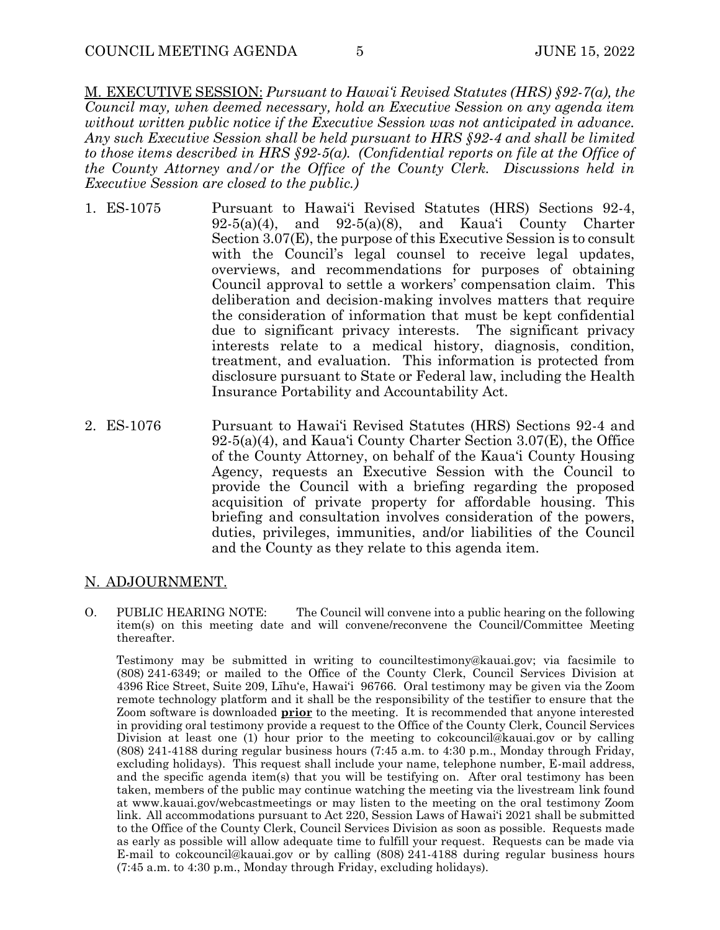M. EXECUTIVE SESSION: *Pursuant to Hawai'i Revised Statutes (HRS) §92-7(a), the Council may, when deemed necessary, hold an Executive Session on any agenda item without written public notice if the Executive Session was not anticipated in advance. Any such Executive Session shall be held pursuant to HRS §92-4 and shall be limited to those items described in HRS §92-5(a). (Confidential reports on file at the Office of the County Attorney and/or the Office of the County Clerk. Discussions held in Executive Session are closed to the public.)*

- 1. ES-1075 Pursuant to Hawai'i Revised Statutes (HRS) Sections 92-4,  $92-5(a)(4)$ , and  $92-5(a)(8)$ , and Kaua'i County Charter Section 3.07(E), the purpose of this Executive Session is to consult with the Council's legal counsel to receive legal updates, overviews, and recommendations for purposes of obtaining Council approval to settle a workers' compensation claim. This deliberation and decision-making involves matters that require the consideration of information that must be kept confidential due to significant privacy interests. The significant privacy interests relate to a medical history, diagnosis, condition, treatment, and evaluation. This information is protected from disclosure pursuant to State or Federal law, including the Health Insurance Portability and Accountability Act.
- 2. ES-1076 Pursuant to Hawai'i Revised Statutes (HRS) Sections 92-4 and 92-5(a)(4), and Kaua'i County Charter Section 3.07(E), the Office of the County Attorney, on behalf of the Kaua'i County Housing Agency, requests an Executive Session with the Council to provide the Council with a briefing regarding the proposed acquisition of private property for affordable housing. This briefing and consultation involves consideration of the powers, duties, privileges, immunities, and/or liabilities of the Council and the County as they relate to this agenda item.

#### N. ADJOURNMENT.

O. PUBLIC HEARING NOTE: The Council will convene into a public hearing on the following item(s) on this meeting date and will convene/reconvene the Council/Committee Meeting thereafter.

 Testimony may be submitted in writing to counciltestimony@kauai.gov; via facsimile to (808) 241-6349; or mailed to the Office of the County Clerk, Council Services Division at 4396 Rice Street, Suite 209, Līhu'e, Hawai'i 96766. Oral testimony may be given via the Zoom remote technology platform and it shall be the responsibility of the testifier to ensure that the Zoom software is downloaded **prior** to the meeting. It is recommended that anyone interested in providing oral testimony provide a request to the Office of the County Clerk, Council Services Division at least one (1) hour prior to the meeting to cokcouncil@kauai.gov or by calling (808) 241-4188 during regular business hours (7:45 a.m. to 4:30 p.m., Monday through Friday, excluding holidays). This request shall include your name, telephone number, E-mail address, and the specific agenda item(s) that you will be testifying on. After oral testimony has been taken, members of the public may continue watching the meeting via the livestream link found at www.kauai.gov/webcastmeetings or may listen to the meeting on the oral testimony Zoom link. All accommodations pursuant to Act 220, Session Laws of Hawai'i 2021 shall be submitted to the Office of the County Clerk, Council Services Division as soon as possible. Requests made as early as possible will allow adequate time to fulfill your request. Requests can be made via E-mail to cokcouncil@kauai.gov or by calling (808) 241-4188 during regular business hours (7:45 a.m. to 4:30 p.m., Monday through Friday, excluding holidays).